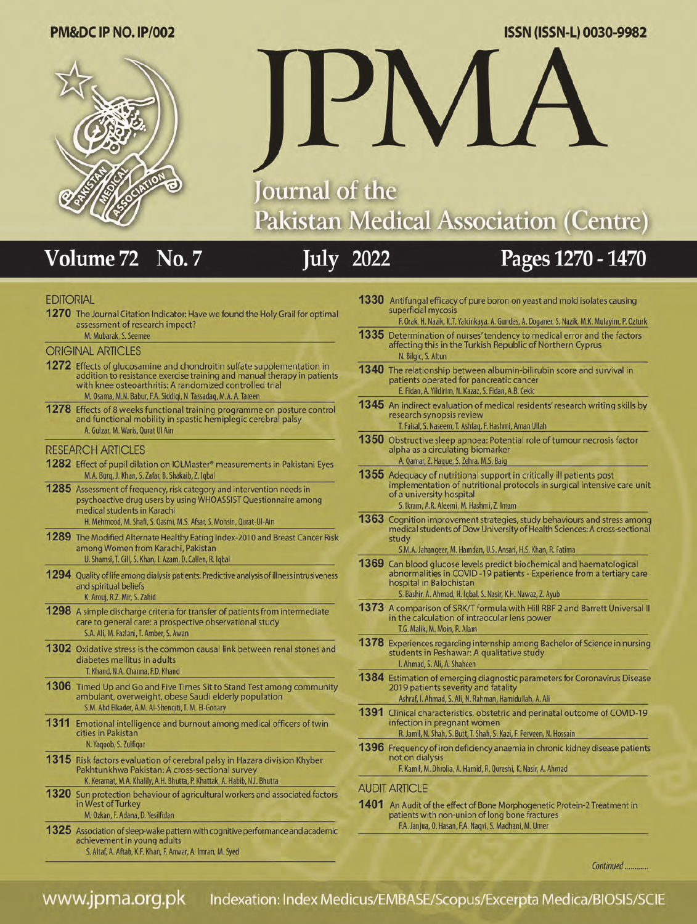### ISSN (ISSN-L) 0030-9982

#### PM&DC IP NO. IP/002



# Journal of the **Pakistan Medical Association (Centre)**

#### Volume<sub>72</sub> No.7

## **July 2022**

## Pages 1270 - 1470

#### **EDITORIAL**

1270 The Journal Citation Indicator: Have we found the Holy Grail for optimal assessment of research impact? M. Mubarak, S. Seemee

#### **ORIGINAL ARTICLES**

- 1272 Effects of glucosamine and chondroitin sulfate supplementation in addition to resistance exercise training and manual therapy in patients with knee osteoarthritis: A randomized controlled trial M. Osama, M.N. Babur, F.A. Siddiqi, N. Tassadaq, M.A. A. Tareen
- 1278 Effects of 8 weeks functional training programme on posture control and functional mobility in spastic hemiplegic cerebral palsy A. Gulzar, M. Waris, Qurat Ul Ain

#### **RESEARCH ARTICLES**

- 1282 Effect of pupil dilation on IOLMaster® measurements in Pakistani Eyes M.A. Burq, J. Khan, S. Zafar, B. Shakaib, Z. Iqbal
- 1285 Assessment of frequency, risk category and intervention needs in psychoactive drug users by using WHOASSIST Questionnaire among medical students in Karachi H. Mehmood, M. Shafi, S. Qasmi, M.S. Afsar, S. Mohsin, Qurat-Ul-Ain
- 1289 The Modified Alternate Healthy Eating Index-2010 and Breast Cancer Risk among Women from Karachi, Pakistan U. Shamsi, T. Gill, S. Khan, I. Azam, D. Callen, R. Iqbal
- 1294 Quality of life among dialysis patients: Predictive analysis of illness intrusiveness and spiritual beliefs K. Arouj, R.Z. Mir, S. Zahid
- 1298 A simple discharge criteria for transfer of patients from intermediate care to general care: a prospective observational study S.A. Ali, M. Fazlani, T. Amber, S. Awan
- 1302 Oxidative stress is the common causal link between renal stones and diabetes mellitus in adults T. Khand, N.A. Channa, F.D. Khand
- 1306 Timed Up and Go and Five Times Sit to Stand Test among community ambulant, overweight, obese Saudi elderly population S.M. Abd Elkader, A.M. Al-Shengiti, T. M. El-Gohary
- 1311 Emotional intelligence and burnout among medical officers of twin cities in Pakistan N. Yaqoob, S. Zulfigar
- 1315 Risk factors evaluation of cerebral palsy in Hazara division Khyber Pakhtunkhwa Pakistan: A cross-sectional survey K. Keramat, M.A. Khalily, A.H. Bhutta, P. Khattak, A. Habib, N.I. Bhutta
- 1320 Sun protection behaviour of agricultural workers and associated factors in West of Turkey M. Ozkan, F. Adana, D. Yesilfidan
- 1325 Association of sleep-wake pattern with cognitive performance and academic achievement in young adults
	- S. Altaf, A. Aftab, K.F. Khan, F. Anwar, A. Imran, M. Syed

| 1330 | Antifungal efficacy of pure boron on yeast and mold isolates causing<br>superficial mycosis<br>F. Orak, H. Nazik, K.T. Yalcinkaya, A. Gundes, A. Doganer, S. Nazik, M.K. Mulayim, P. Ozturk                                             |
|------|-----------------------------------------------------------------------------------------------------------------------------------------------------------------------------------------------------------------------------------------|
|      |                                                                                                                                                                                                                                         |
| 1335 | Determination of nurses' tendency to medical error and the factors<br>affecting this in the Turkish Republic of Northern Cyprus<br>N. Bilgic, S. Altun                                                                                  |
|      | 1340 The relationship between albumin-bilirubin score and survival in<br>patients operated for pancreatic cancer<br>E. Fidan, A. Yildirim, N. Kazaz, S. Fidan, A.B. Cekic                                                               |
|      | 1345 An indirect evaluation of medical residents' research writing skills by<br>research synopsis review<br>T. Faisal, S. Naseem, T. Ashfaq, F. Hashmi, Aman Ullah                                                                      |
|      | 1350 Obstructive sleep apnoea: Potential role of tumour necrosis factor<br>alpha as a circulating biomarker<br>A. Qamar, Z. Haque, S. Zehra, M.S. Baig                                                                                  |
|      | 1355 Adequacy of nutritional support in critically ill patients post<br>implementation of nutritional protocols in surgical intensive care unit<br>of a university hospital<br>S. Ikram, A.R. Aleemi, M. Hashmi, Z. Imam                |
| 1363 | Cognition improvement strategies, study behaviours and stress among<br>medical students of Dow University of Health Sciences: A cross-sectional<br>study<br>S.M.A. Jahangeer, M. Hamdan, U.S. Ansari, H.S. Khan, R. Fatima              |
|      | 1369 Can blood glucose levels predict biochemical and haematological<br>abnormalities in COVID-19 patients - Experience from a tertiary care<br>hospital in Balochistan<br>S. Bashir, A. Ahmad, H. Iqbal, S. Nasir, K.H. Nawaz, Z. Ayub |
|      | 1373 A comparison of SRK/T formula with Hill RBF 2 and Barrett Universal II<br>in the calculation of intraocular lens power<br>T.G. Malik, M. Moin, R. Alam                                                                             |
| 1378 | Experiences regarding internship among Bachelor of Science in nursing<br>students in Peshawar: A qualitative study<br>I. Ahmad, S. Ali, A. Shaheen                                                                                      |
|      | 1384 Estimation of emerging diagnostic parameters for Coronavirus Disease<br>2019 patients severity and fatality<br>Ashraf, I. Ahmad, S. Ali, N. Rahman, Hamidullah, A. Ali                                                             |
|      | 1391 Clinical characteristics, obstetric and perinatal outcome of COVID-19<br>infection in pregnant women<br>R. Jamil, N. Shah, S. Butt, T. Shah, S. Kazi, F. Perveen, N. Hossain                                                       |
|      | 1396 Frequency of iron deficiency anaemia in chronic kidney disease patients<br>not on dialysis<br>F. Kamil, M. Dhrolia, A. Hamid, R. Qureshi, K. Nasir, A. Ahmad                                                                       |
|      |                                                                                                                                                                                                                                         |
|      | AUDIT ARTICLE                                                                                                                                                                                                                           |
|      | AAOA A A BUCK COMPANY OF BOARD                                                                                                                                                                                                          |

An Audit of the effect of Bone Morphogenetic Protein-2 Treatment in patients with non-union of long bone fractures F.A. Janjua, O. Hasan, F.A. Naqvi, S. Madhani, M. Umer

Continued ............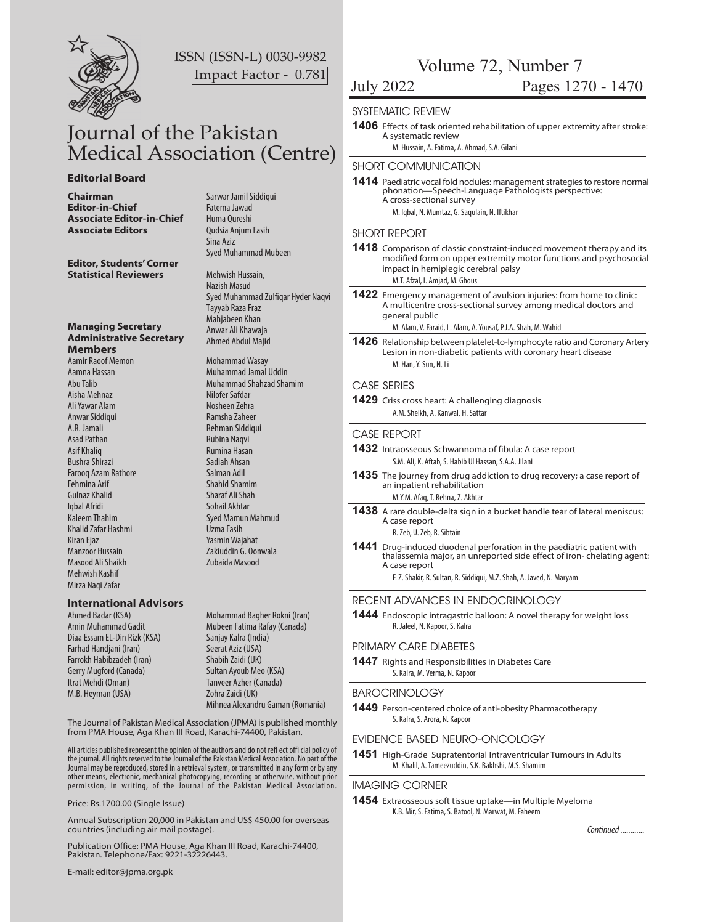

ISSN (ISSN-L) 0030-9982 Impact Factor - 0.781

## Journal of the Pakistan Medical Association (Centre)

#### **Editorial Board**

**Chairman** Sarwar Jamil Siddiqui **Editor-in-Chief** Fatema Jawad **Associate Editor-in-Chief** Huma Qureshi **Associate Editors** Qudsia Anjum Fasih

**Editor, Students' Corner Statistical Reviewers** 

#### **Managing Secretary Administrative Secretary Members**

Aamir Raoof Memon Mohammad Wasay Aisha Mehnaz Nilofer Safdar Ali Yawar Alam Nosheen Zehra Anwar Siddiqui **Ramsha Zaheer** A.R. Jamali Rehman Siddiqui Asad Pathan Rubina Naqvi (Rubina Naqvi )<br>Asif Khaliq (Rubina Nasar Bushra Shirazi Sadiah Ahsan Farooq Azam Rathore Salman Adil Fehmina Arif Shahid Shamim Gulnaz Khalid Sharaf Ali Shah Iqbal Afridi Sohail Akhtar Khalid Zafar Hashmi **Uzma Fasih** Kiran Ejaz Yasmin Wajahat Masood Ali Shaikh Zubaida Masood Mehwish Kashif Mirza Naqi Zafar

#### **International Advisors**

Diaa Essam EL-Din Rizk (KSA) Sanjay Kalra (India) Farhad Handjani (Iran) Seerat Aziz (USA)<br>Farrokh Habibzadeh (Iran) Shabih Zaidi (UK) Farrokh Habibzadeh (Iran) Gerry Mugford (Canada) Sultan Ayoub Meo (KSA) Itrat Mehdi (Oman) Tanveer Azher (Canada) M.B. Heyman (USA) Zohra Zaidi (UK)

Sina Aziz Syed Muhammad Mubeen

Mehwish Hussain, Nazish Masud Syed Muhammad Zulfiqar Hyder Naqvi Tayyab Raza Fraz Mahjabeen Khan Anwar Ali Khawaja Ahmed Abdul Majid

Aamna Hassan Muhammad Jamal Uddin **Muhammad Shahzad Shamim Rumina Hasan** Kaleem Thahim Syed Mamun Mahmud Manzoor Hussain Zakiuddin G. Oonwala

Ahmed Badar (KSA) Mohammad Bagher Rokni (Iran) Amin Muhammad Gadit Mubeen Fatima Rafay (Canada) Mihnea Alexandru Gaman (Romania)

The Journal of Pakistan Medical Association (JPMA) is published monthly from PMA House, Aga Khan III Road, Karachi-74400, Pakistan.

All articles published represent the opinion of the authors and do not refl ect offi cial policy of the journal. All rights reserved to the Journal of the Pakistan Medical Association. No part of the Journal may be reproduced, stored in a retrieval system, or transmitted in any form or by any other means, electronic, mechanical photocopying, recording or otherwise, without prior permission, in writing, of the Journal of the Pakistan Medical Association.

Price: Rs.1700.00 (Single Issue)

Annual Subscription 20,000 in Pakistan and US\$ 450.00 for overseas countries (including air mail postage).

Publication Office: PMA House, Aga Khan III Road, Karachi-74400, Pakistan. Telephone/Fax: 9221-32226443.

E-mail: editor@jpma.org.pk

Volume 72, Number 7

## July 2022 Pages 1270 - 1470

#### SYSTEMATIC REVIEW

- **1406** Effects of task oriented rehabilitation of upper extremity after stroke: A systematic review
	- M. Hussain, A. Fatima, A. Ahmad, S.A. Gilani

SHORT COMMUNICATION

**1414** Paediatric vocal fold nodules: management strategies to restore normal phonation-Speech-Language Pathologists perspective: A cross-sectional survey

M. Iqbal, N. Mumtaz, G. Saqulain, N. Iftikhar

#### SHORT REPORT

**1418** Comparison of classic constraint-induced movement therapy and its modified form on upper extremity motor functions and psychosocial impact in hemiplegic cerebral palsy

M.T. Afzal, I. Amjad, M. Ghous

**1422** Emergency management of avulsion injuries: from home to clinic: A multicentre cross-sectional survey among medical doctors and general public

M. Alam, V. Faraid, L. Alam, A. Yousaf, P.J.A. Shah, M. Wahid

**1426** Relationship between platelet-to-lymphocyte ratio and Coronary Artery Lesion in non-diabetic patients with coronary heart disease M. Han, Y. Sun, N. Li

#### CASE SERIES

**1429** Criss cross heart: A challenging diagnosis A.M. Sheikh, A. Kanwal, H. Sattar

#### CASE REPORT

- **1432** Intraosseous Schwannoma of fibula: A case report S.M. Ali, K. Aftab, S. Habib Ul Hassan, S.A.A. Jilani
- **1435** The journey from drug addiction to drug recovery; a case report of an inpatient rehabilitation M.Y.M. Afaq, T. Rehna, Z. Akhtar
- **1438** A rare double-delta sign in a bucket handle tear of lateral meniscus: A case report

R. Zeb, U. Zeb, R. Sibtain

**1441** Drug-induced duodenal perforation in the paediatric patient with thalassemia major, an unreported side effect of iron- chelating agent: A case report

F. Z. Shakir, R. Sultan, R. Siddiqui, M.Z. Shah, A. Javed, N. Maryam

#### RECENT ADVANCES IN ENDOCRINOLOGY

**1444** Endoscopic intragastric balloon: A novel therapy for weight loss R. Jaleel, N. Kapoor, S. Kalra

#### PRIMARY CARE DIABETES

**1447** Rights and Responsibilities in Diabetes Care S. Kalra, M. Verma, N. Kapoor

#### **BAROCRINOLOGY**

**1449** Person-centered choice of anti-obesity Pharmacotherapy S. Kalra, S. Arora, N. Kapoor

#### EVIDENCE BASED NEURO-ONCOLOGY

**1451** High-Grade Supratentorial Intraventricular Tumours in Adults M. Khalil, A. Tameezuddin, S.K. Bakhshi, M.S. Shamim

#### IMAGING CORNER

**1454** Extraosseous soft tissue uptake-in Multiple Myeloma K.B. Mir, S. Fatima, S. Batool, N. Marwat, M. Faheem

*Continued ............*